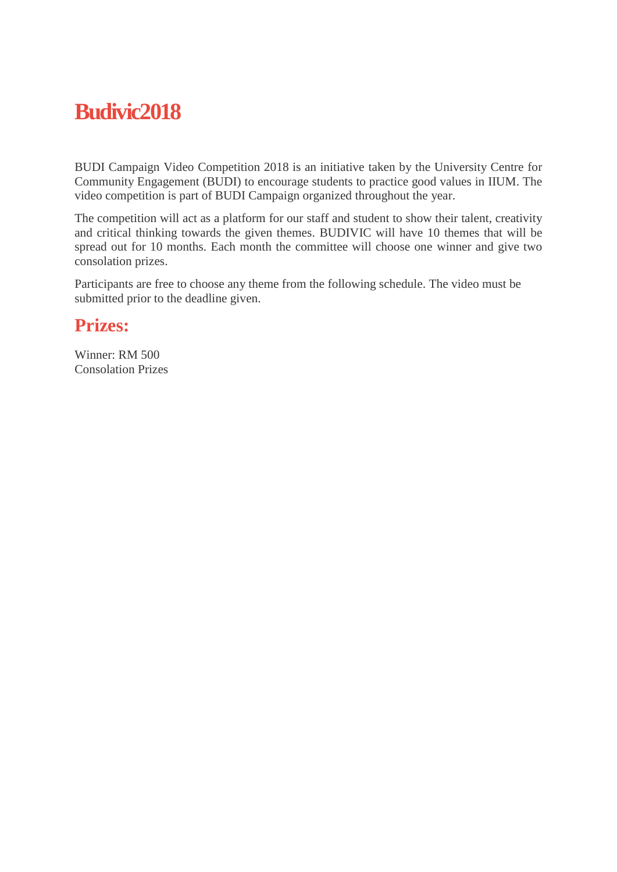## **Budivic2018**

BUDI Campaign Video Competition 2018 is an initiative taken by the University Centre for Community Engagement (BUDI) to encourage students to practice good values in IIUM. The video competition is part of BUDI Campaign organized throughout the year.

The competition will act as a platform for our staff and student to show their talent, creativity and critical thinking towards the given themes. BUDIVIC will have 10 themes that will be spread out for 10 months. Each month the committee will choose one winner and give two consolation prizes.

Participants are free to choose any theme from the following schedule. The video must be submitted prior to the deadline given.

### **Prizes:**

Winner: RM 500 Consolation Prizes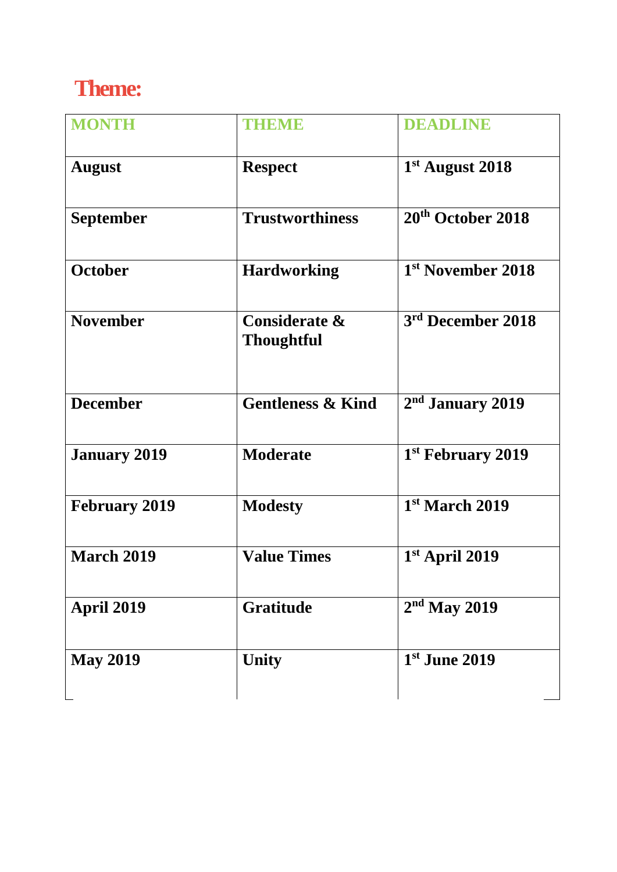# **Theme:**

| <b>MONTH</b>         | THEMIE                                        | <b>DEADLINE</b>               |
|----------------------|-----------------------------------------------|-------------------------------|
| <b>August</b>        | <b>Respect</b>                                | $1st$ August 2018             |
| <b>September</b>     | <b>Trustworthiness</b>                        | 20 <sup>th</sup> October 2018 |
| October              | <b>Hardworking</b>                            | 1 <sup>st</sup> November 2018 |
| <b>November</b>      | <b>Considerate &amp;</b><br><b>Thoughtful</b> | 3 <sup>rd</sup> December 2018 |
| <b>December</b>      | <b>Gentleness &amp; Kind</b>                  | 2 <sup>nd</sup> January 2019  |
| <b>January 2019</b>  | <b>Moderate</b>                               | 1 <sup>st</sup> February 2019 |
| <b>February 2019</b> | <b>Modesty</b>                                | 1 <sup>st</sup> March 2019    |
| <b>March 2019</b>    | <b>Value Times</b>                            | $1st$ April 2019              |
| <b>April 2019</b>    | <b>Gratitude</b>                              | $2nd$ May 2019                |
| <b>May 2019</b>      | <b>Unity</b>                                  | $1st$ June 2019               |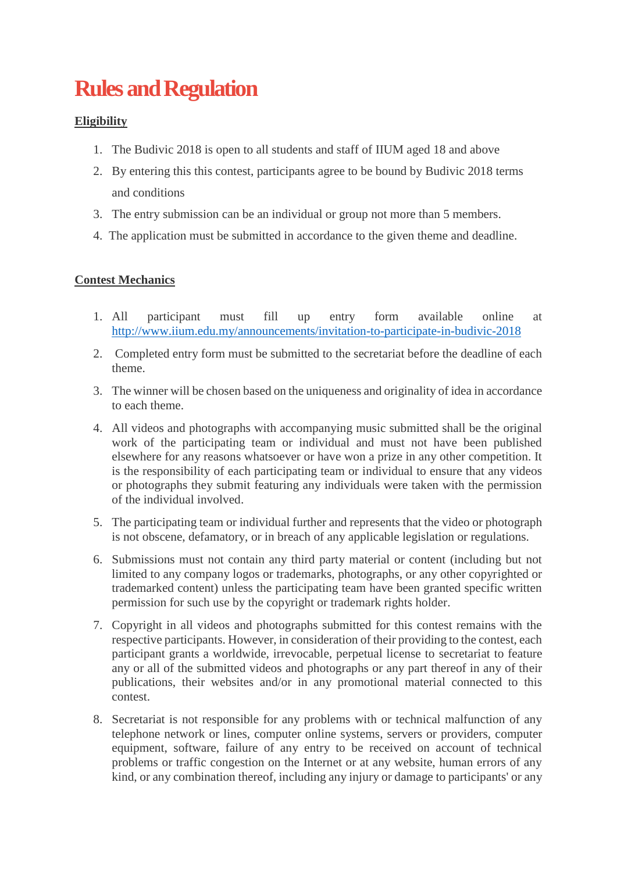# **Rules and Regulation**

### **Eligibility**

- 1. The Budivic 2018 is open to all students and staff of IIUM aged 18 and above
- 2. By entering this this contest, participants agree to be bound by Budivic 2018 terms and conditions
- 3. The entry submission can be an individual or group not more than 5 members.
- 4. The application must be submitted in accordance to the given theme and deadline.

### **Contest Mechanics**

- 1. All participant must fill up entry form available online at <http://www.iium.edu.my/announcements/invitation-to-participate-in-budivic-2018>
- 2. Completed entry form must be submitted to the secretariat before the deadline of each theme.
- 3. The winner will be chosen based on the uniqueness and originality of idea in accordance to each theme.
- 4. All videos and photographs with accompanying music submitted shall be the original work of the participating team or individual and must not have been published elsewhere for any reasons whatsoever or have won a prize in any other competition. It is the responsibility of each participating team or individual to ensure that any videos or photographs they submit featuring any individuals were taken with the permission of the individual involved.
- 5. The participating team or individual further and represents that the video or photograph is not obscene, defamatory, or in breach of any applicable legislation or regulations.
- 6. Submissions must not contain any third party material or content (including but not limited to any company logos or trademarks, photographs, or any other copyrighted or trademarked content) unless the participating team have been granted specific written permission for such use by the copyright or trademark rights holder.
- 7. Copyright in all videos and photographs submitted for this contest remains with the respective participants. However, in consideration of their providing to the contest, each participant grants a worldwide, irrevocable, perpetual license to secretariat to feature any or all of the submitted videos and photographs or any part thereof in any of their publications, their websites and/or in any promotional material connected to this contest.
- 8. Secretariat is not responsible for any problems with or technical malfunction of any telephone network or lines, computer online systems, servers or providers, computer equipment, software, failure of any entry to be received on account of technical problems or traffic congestion on the Internet or at any website, human errors of any kind, or any combination thereof, including any injury or damage to participants' or any